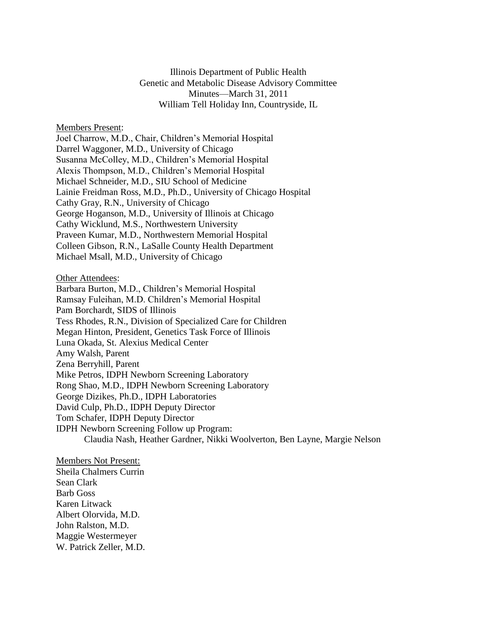Illinois Department of Public Health Genetic and Metabolic Disease Advisory Committee Minutes—March 31, 2011 William Tell Holiday Inn, Countryside, IL

Members Present:

Joel Charrow, M.D., Chair, Children's Memorial Hospital Darrel Waggoner, M.D., University of Chicago Susanna McColley, M.D., Children's Memorial Hospital Alexis Thompson, M.D., Children's Memorial Hospital Michael Schneider, M.D., SIU School of Medicine Lainie Freidman Ross, M.D., Ph.D., University of Chicago Hospital Cathy Gray, R.N., University of Chicago George Hoganson, M.D., University of Illinois at Chicago Cathy Wicklund, M.S., Northwestern University Praveen Kumar, M.D., Northwestern Memorial Hospital Colleen Gibson, R.N., LaSalle County Health Department Michael Msall, M.D., University of Chicago

Other Attendees:

Barbara Burton, M.D., Children's Memorial Hospital Ramsay Fuleihan, M.D. Children's Memorial Hospital Pam Borchardt, SIDS of Illinois Tess Rhodes, R.N., Division of Specialized Care for Children Megan Hinton, President, Genetics Task Force of Illinois Luna Okada, St. Alexius Medical Center Amy Walsh, Parent Zena Berryhill, Parent Mike Petros, IDPH Newborn Screening Laboratory Rong Shao, M.D., IDPH Newborn Screening Laboratory George Dizikes, Ph.D., IDPH Laboratories David Culp, Ph.D., IDPH Deputy Director Tom Schafer, IDPH Deputy Director IDPH Newborn Screening Follow up Program: Claudia Nash, Heather Gardner, Nikki Woolverton, Ben Layne, Margie Nelson

Members Not Present: Sheila Chalmers Currin Sean Clark Barb Goss Karen Litwack Albert Olorvida, M.D. John Ralston, M.D. Maggie Westermeyer W. Patrick Zeller, M.D.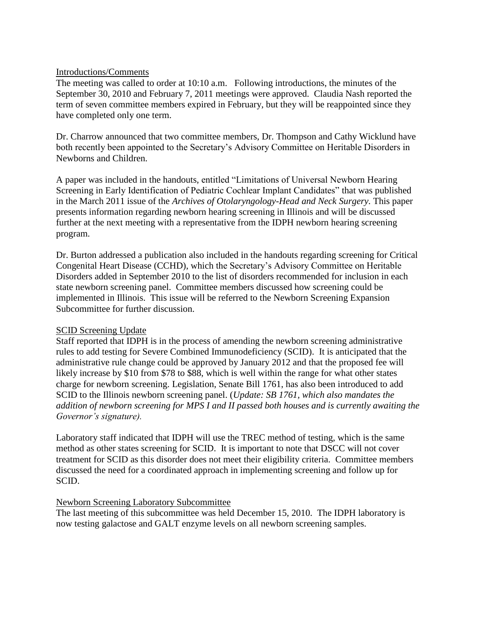### Introductions/Comments

The meeting was called to order at 10:10 a.m. Following introductions, the minutes of the September 30, 2010 and February 7, 2011 meetings were approved. Claudia Nash reported the term of seven committee members expired in February, but they will be reappointed since they have completed only one term.

Dr. Charrow announced that two committee members, Dr. Thompson and Cathy Wicklund have both recently been appointed to the Secretary's Advisory Committee on Heritable Disorders in Newborns and Children.

A paper was included in the handouts, entitled "Limitations of Universal Newborn Hearing Screening in Early Identification of Pediatric Cochlear Implant Candidates" that was published in the March 2011 issue of the *Archives of Otolaryngology-Head and Neck Surgery.* This paper presents information regarding newborn hearing screening in Illinois and will be discussed further at the next meeting with a representative from the IDPH newborn hearing screening program.

Dr. Burton addressed a publication also included in the handouts regarding screening for Critical Congenital Heart Disease (CCHD), which the Secretary's Advisory Committee on Heritable Disorders added in September 2010 to the list of disorders recommended for inclusion in each state newborn screening panel. Committee members discussed how screening could be implemented in Illinois. This issue will be referred to the Newborn Screening Expansion Subcommittee for further discussion.

# SCID Screening Update

Staff reported that IDPH is in the process of amending the newborn screening administrative rules to add testing for Severe Combined Immunodeficiency (SCID). It is anticipated that the administrative rule change could be approved by January 2012 and that the proposed fee will likely increase by \$10 from \$78 to \$88, which is well within the range for what other states charge for newborn screening. Legislation, Senate Bill 1761, has also been introduced to add SCID to the Illinois newborn screening panel. (*Update: SB 1761, which also mandates the addition of newborn screening for MPS I and II passed both houses and is currently awaiting the Governor's signature).*

Laboratory staff indicated that IDPH will use the TREC method of testing, which is the same method as other states screening for SCID. It is important to note that DSCC will not cover treatment for SCID as this disorder does not meet their eligibility criteria. Committee members discussed the need for a coordinated approach in implementing screening and follow up for SCID.

### Newborn Screening Laboratory Subcommittee

The last meeting of this subcommittee was held December 15, 2010. The IDPH laboratory is now testing galactose and GALT enzyme levels on all newborn screening samples.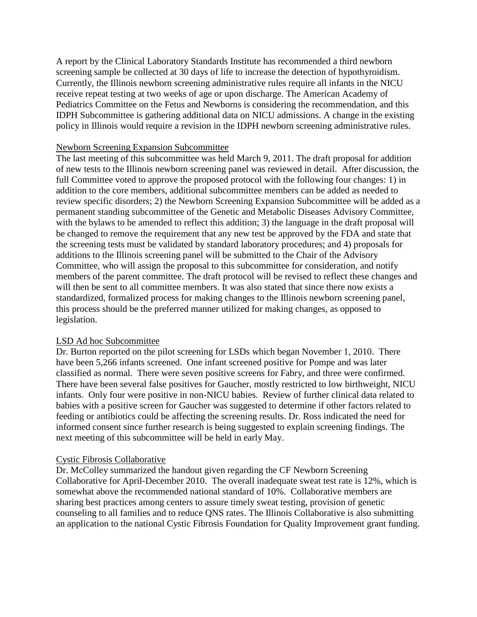A report by the Clinical Laboratory Standards Institute has recommended a third newborn screening sample be collected at 30 days of life to increase the detection of hypothyroidism. Currently, the Illinois newborn screening administrative rules require all infants in the NICU receive repeat testing at two weeks of age or upon discharge. The American Academy of Pediatrics Committee on the Fetus and Newborns is considering the recommendation, and this IDPH Subcommittee is gathering additional data on NICU admissions. A change in the existing policy in Illinois would require a revision in the IDPH newborn screening administrative rules.

### Newborn Screening Expansion Subcommittee

The last meeting of this subcommittee was held March 9, 2011. The draft proposal for addition of new tests to the Illinois newborn screening panel was reviewed in detail. After discussion, the full Committee voted to approve the proposed protocol with the following four changes: 1) in addition to the core members, additional subcommittee members can be added as needed to review specific disorders; 2) the Newborn Screening Expansion Subcommittee will be added as a permanent standing subcommittee of the Genetic and Metabolic Diseases Advisory Committee, with the bylaws to be amended to reflect this addition; 3) the language in the draft proposal will be changed to remove the requirement that any new test be approved by the FDA and state that the screening tests must be validated by standard laboratory procedures; and 4) proposals for additions to the Illinois screening panel will be submitted to the Chair of the Advisory Committee, who will assign the proposal to this subcommittee for consideration, and notify members of the parent committee. The draft protocol will be revised to reflect these changes and will then be sent to all committee members. It was also stated that since there now exists a standardized, formalized process for making changes to the Illinois newborn screening panel, this process should be the preferred manner utilized for making changes, as opposed to legislation.

### LSD Ad hoc Subcommittee

Dr. Burton reported on the pilot screening for LSDs which began November 1, 2010. There have been 5,266 infants screened. One infant screened positive for Pompe and was later classified as normal. There were seven positive screens for Fabry, and three were confirmed. There have been several false positives for Gaucher, mostly restricted to low birthweight, NICU infants. Only four were positive in non-NICU babies. Review of further clinical data related to babies with a positive screen for Gaucher was suggested to determine if other factors related to feeding or antibiotics could be affecting the screening results. Dr. Ross indicated the need for informed consent since further research is being suggested to explain screening findings. The next meeting of this subcommittee will be held in early May.

### Cystic Fibrosis Collaborative

Dr. McColley summarized the handout given regarding the CF Newborn Screening Collaborative for April-December 2010. The overall inadequate sweat test rate is 12%, which is somewhat above the recommended national standard of 10%. Collaborative members are sharing best practices among centers to assure timely sweat testing, provision of genetic counseling to all families and to reduce QNS rates. The Illinois Collaborative is also submitting an application to the national Cystic Fibrosis Foundation for Quality Improvement grant funding.